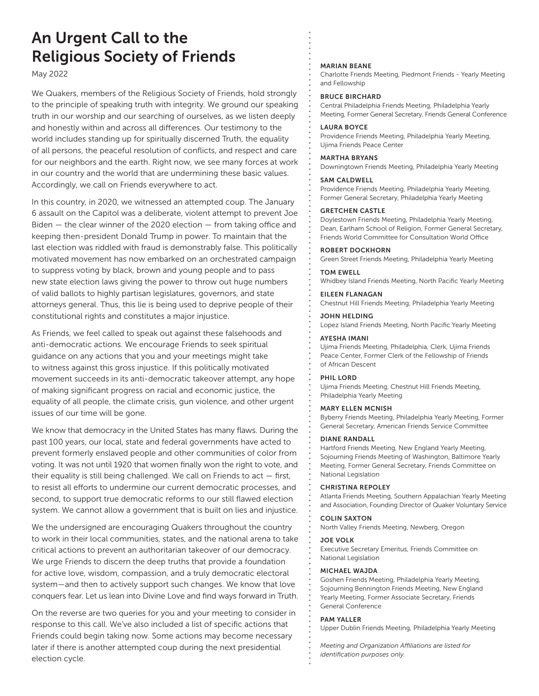# An Urgent Call to the Religious Society of Friends

May 2022

We Quakers, members of the Religious Society of Friends, hold strongly to the principle of speaking truth with integrity. We ground our speaking truth in our worship and our searching of ourselves, as we listen deeply and honestly within and across all differences. Our testimony to the world includes standing up for spiritually discerned Truth, the equality of all persons, the peaceful resolution of conflicts, and respect and care for our neighbors and the earth. Right now, we see many forces at work in our country and the world that are undermining these basic values. Accordingly, we call on Friends everywhere to act.

In this country, in 2020, we witnessed an attempted coup. The January 6 assault on the Capitol was a deliberate, violent attempt to prevent Joe Biden — the clear winner of the 2020 election — from taking office and keeping then-president Donald Trump in power. To maintain that the last election was riddled with fraud is demonstrably false. This politically motivated movement has now embarked on an orchestrated campaign to suppress voting by black, brown and young people and to pass new state election laws giving the power to throw out huge numbers of valid ballots to highly partisan legislatures, governors, and state attorneys general. Thus, this lie is being used to deprive people of their constitutional rights and constitutes a major injustice.

As Friends, we feel called to speak out against these falsehoods and anti-democratic actions. We encourage Friends to seek spiritual guidance on any actions that you and your meetings might take to witness against this gross injustice. If this politically motivated movement succeeds in its anti-democratic takeover attempt, any hope of making significant progress on racial and economic justice, the equality of all people, the climate crisis, gun violence, and other urgent issues of our time will be gone.

We know that democracy in the United States has many flaws. During the past 100 years, our local, state and federal governments have acted to prevent formerly enslaved people and other communities of color from voting. It was not until 1920 that women finally won the right to vote, and their equality is still being challenged. We call on Friends to act — first, to resist all efforts to undermine our current democratic processes, and second, to support true democratic reforms to our still flawed election system. We cannot allow a government that is built on lies and injustice.

We the undersigned are encouraging Quakers throughout the country to work in their local communities, states, and the national arena to take critical actions to prevent an authoritarian takeover of our democracy. We urge Friends to discern the deep truths that provide a foundation for active love, wisdom, compassion, and a truly democratic electoral system—and then to actively support such changes. We know that love conquers fear. Let us lean into Divine Love and find ways forward in Truth.

On the reverse are two queries for you and your meeting to consider in response to this call. We've also included a list of specific actions that Friends could begin taking now. Some actions may become necessary later if there is another attempted coup during the next presidential election cycle.

#### MARIAN BEANE

Charlotte Friends Meeting, Piedmont Friends - Yearly Meeting and Fellowship

#### BRUCE BIRCHARD

Central Philadelphia Friends Meeting, Philadelphia Yearly Meeting, Former General Secretary, Friends General Conference

#### LAURA BOYCE

Providence Friends Meeting, Philadelphia Yearly Meeting, Ujima Friends Peace Center

#### MARTHA BRYANS

Downingtown Friends Meeting, Philadelphia Yearly Meeting

#### SAM CALDWELL

Providence Friends Meeting, Philadelphia Yearly Meeting, Former General Secretary, Philadelphia Yearly Meeting

#### GRETCHEN CASTLE

Doylestown Friends Meeting, Philadelphia Yearly Meeting, Dean, Earlham School of Religion, Former General Secretary, Friends World Committee for Consultation World Office

#### ROBERT DOCKHORN

Green Street Friends Meeting, Philadelphia Yearly Meeting

#### TOM EWELL

Whidbey Island Friends Meeting, North Pacific Yearly Meeting

# EILEEN FLANAGAN

Chestnut Hill Friends Meeting, Philadelphia Yearly Meeting JOHN HELDING

Lopez Island Friends Meeting, North Pacific Yearly Meeting

#### AYESHA IMANI

Ujima Friends Meeting, Philadelphia, Clerk, Ujima Friends Peace Center, Former Clerk of the Fellowship of Friends of African Descent

#### PHIL LORD

Ujima Friends Meeting, Chestnut Hill Friends Meeting, Philadelphia Yearly Meeting

#### MARY ELLEN MCNISH

Byberry Friends Meeting, Philadelphia Yearly Meeting, Former General Secretary, American Friends Service Committee

#### DIANE RANDALL

Hartford Friends Meeting, New England Yearly Meeting, Sojourning Friends Meeting of Washington, Baltimore Yearly Meeting, Former General Secretary, Friends Committee on National Legislation

#### CHRISTINA REPOLEY

Atlanta Friends Meeting, Southern Appalachian Yearly Meeting and Association, Founding Director of Quaker Voluntary Service

#### COLIN SAXTON

North Valley Friends Meeting, Newberg, Oregon

#### JOE VOLK

Executive Secretary Emeritus, Friends Committee on National Legislation

#### MICHAEL WAJDA

Goshen Friends Meeting, Philadelphia Yearly Meeting, Sojourning Bennington Friends Meeting, New England Yearly Meeting, Former Associate Secretary, Friends General Conference

#### PAM YALLER

Upper Dublin Friends Meeting, Philadelphia Yearly Meeting

*Meeting and Organization Affiliations are listed for identification purposes only.*